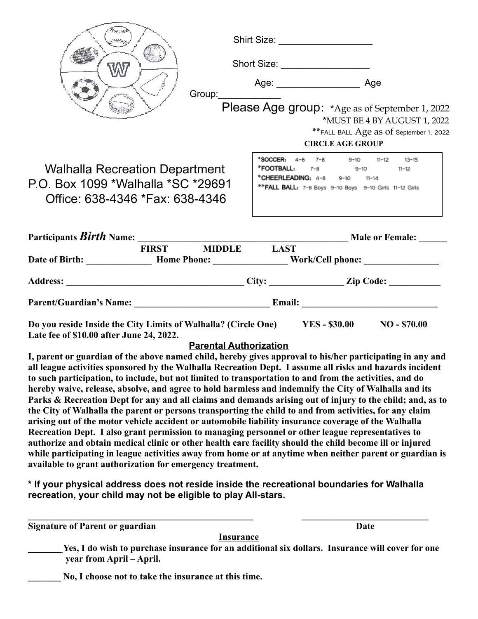|                                                                                                                |  | FIRST MIDDLE LAST    |                                                                                                                                                                      |  |
|----------------------------------------------------------------------------------------------------------------|--|----------------------|----------------------------------------------------------------------------------------------------------------------------------------------------------------------|--|
|                                                                                                                |  |                      |                                                                                                                                                                      |  |
| <b>Walhalla Recreation Department</b><br>P.O. Box 1099 *Walhalla *SC *29691<br>Office: 638-4346 *Fax: 638-4346 |  |                      | *SOCCER: 4-6 7-8 9-10 11-12 13-15<br>* <b>FOOTBALL:</b> $7-8$ 9-10 11-12<br>*CHEERLEADING: 4-8 9-10 11-14<br>** FALL BALL: 7-8 Boys 9-10 Boys 9-10 Girls 11-12 Girls |  |
|                                                                                                                |  |                      | <b>CIRCLE AGE GROUP</b>                                                                                                                                              |  |
|                                                                                                                |  |                      | ** FALL BALL Age as of September 1, 2022                                                                                                                             |  |
|                                                                                                                |  |                      | *MUST BE 4 BY AUGUST 1, 2022                                                                                                                                         |  |
|                                                                                                                |  |                      | Please Age group: *Age as of September 1, 2022                                                                                                                       |  |
|                                                                                                                |  | Group:______________ | Age: _________________________ Age                                                                                                                                   |  |
| W                                                                                                              |  |                      | Short Size:                                                                                                                                                          |  |
|                                                                                                                |  |                      | Shirt Size: ___________________                                                                                                                                      |  |
|                                                                                                                |  |                      |                                                                                                                                                                      |  |

Do you reside Inside the City Limits of Walhalla? (Circle One) YES - \$30.00 NO - \$70.00 **Late fee of \$10.00 after June 24, 2022.**

## **Parental Authorization**

**I, parent or guardian of the above named child, hereby gives approval to his/her participating in any and all league activities sponsored by the Walhalla Recreation Dept. I assume all risks and hazards incident to such participation, to include, but not limited to transportation to and from the activities, and do hereby waive, release, absolve, and agree to hold harmless and indemnify the City of Walhalla and its Parks & Recreation Dept for any and all claims and demands arising out of injury to the child; and, as to the City of Walhalla the parent or persons transporting the child to and from activities, for any claim arising out of the motor vehicle accident or automobile liability insurance coverage of the Walhalla Recreation Dept. I also grant permission to managing personnel or other league representatives to authorize and obtain medical clinic or other health care facility should the child become ill or injured while participating in league activities away from home or at anytime when neither parent or guardian is available to grant authorization for emergency treatment.**

**\* If your physical address does not reside inside the recreational boundaries for Walhalla recreation, your child may not be eligible to play All-stars.**

**\_\_\_\_\_\_\_\_\_\_\_\_\_\_\_\_\_\_\_\_\_\_\_\_\_\_\_\_\_\_\_\_\_\_\_\_\_\_\_\_\_\_\_\_\_\_\_\_ \_\_\_\_\_\_\_\_\_\_\_\_\_\_\_\_\_\_\_\_\_\_\_\_\_\_\_**

**Signature of Parent or guardian Date** 

**Insurance**

\_\_\_\_\_\_\_ **Yes, I do wish to purchase insurance for an additional six dollars. Insurance will cover for one year from April – April.**

**\_\_\_\_\_\_\_ No, I choose not to take the insurance at this time.**